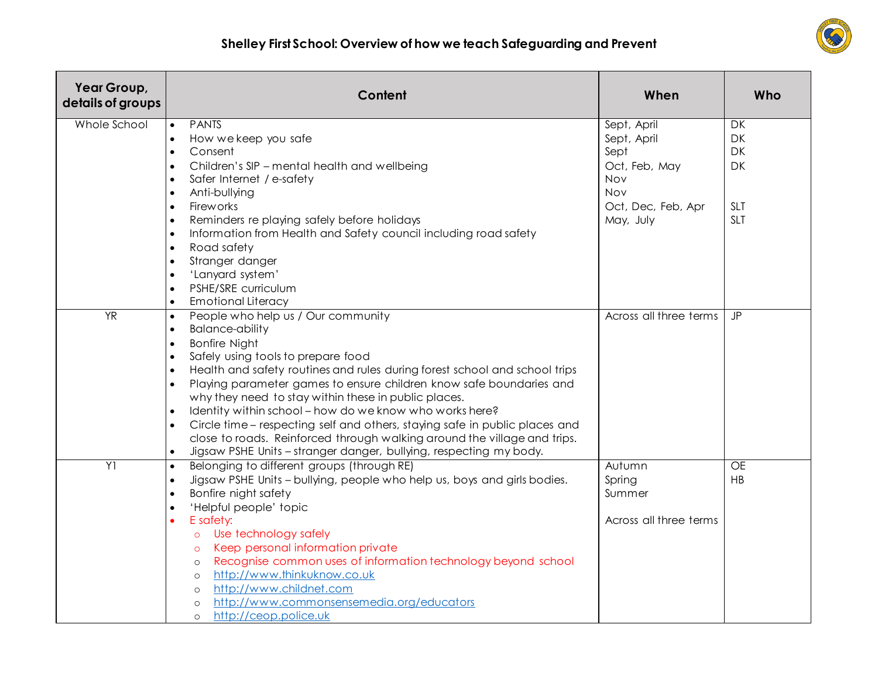

| Year Group,<br>details of groups | Content                                                                                                       | When                   | Who                      |
|----------------------------------|---------------------------------------------------------------------------------------------------------------|------------------------|--------------------------|
| Whole School                     | <b>PANTS</b><br>$\bullet$                                                                                     | Sept, April            | DK                       |
|                                  | How we keep you safe<br>$\bullet$                                                                             | Sept, April            | DK                       |
|                                  | Consent<br>$\bullet$                                                                                          | Sept                   | DK                       |
|                                  | Children's SIP - mental health and wellbeing<br>$\bullet$                                                     | Oct, Feb, May          | DK                       |
|                                  | Safer Internet / e-safety<br>$\bullet$                                                                        | <b>Nov</b>             |                          |
|                                  | Anti-bullying<br>$\bullet$<br>Fireworks                                                                       | <b>Nov</b>             |                          |
|                                  | $\bullet$<br>Reminders re playing safely before holidays                                                      | Oct, Dec, Feb, Apr     | <b>SLT</b><br><b>SLT</b> |
|                                  | $\bullet$<br>Information from Health and Safety council including road safety<br>$\bullet$                    | May, July              |                          |
|                                  | Road safety<br>$\bullet$                                                                                      |                        |                          |
|                                  | Stranger danger<br>$\bullet$                                                                                  |                        |                          |
|                                  | 'Lanyard system'<br>$\bullet$                                                                                 |                        |                          |
|                                  | PSHE/SRE curriculum<br>$\bullet$                                                                              |                        |                          |
|                                  | <b>Emotional Literacy</b><br>$\bullet$                                                                        |                        |                          |
| $\overline{YR}$                  | People who help us / Our community<br>$\bullet$                                                               | Across all three terms | <b>JP</b>                |
|                                  | <b>Balance-ability</b><br>$\bullet$                                                                           |                        |                          |
|                                  | <b>Bonfire Night</b><br>$\bullet$                                                                             |                        |                          |
|                                  | Safely using tools to prepare food<br>$\bullet$                                                               |                        |                          |
|                                  | Health and safety routines and rules during forest school and school trips<br>$\bullet$                       |                        |                          |
|                                  | Playing parameter games to ensure children know safe boundaries and<br>$\bullet$                              |                        |                          |
|                                  | why they need to stay within these in public places.                                                          |                        |                          |
|                                  | Identity within school - how do we know who works here?<br>$\bullet$                                          |                        |                          |
|                                  | Circle time – respecting self and others, staying safe in public places and<br>$\bullet$                      |                        |                          |
|                                  | close to roads. Reinforced through walking around the village and trips.                                      |                        |                          |
|                                  | Jigsaw PSHE Units - stranger danger, bullying, respecting my body.<br>$\bullet$                               |                        |                          |
| Y <sub>1</sub>                   | Belonging to different groups (through RE)<br>$\bullet$                                                       | Autumn                 | OF                       |
|                                  | Jigsaw PSHE Units - bullying, people who help us, boys and girls bodies.<br>$\bullet$<br>Bonfire night safety | Spring<br>Summer       | HB                       |
|                                  | $\bullet$                                                                                                     |                        |                          |
|                                  | 'Helpful people' topic<br>$\bullet$<br>E safety:                                                              | Across all three terms |                          |
|                                  | o Use technology safely                                                                                       |                        |                          |
|                                  | Keep personal information private<br>$\circ$                                                                  |                        |                          |
|                                  | Recognise common uses of information technology beyond school<br>$\circ$                                      |                        |                          |
|                                  | http://www.thinkuknow.co.uk<br>$\circ$                                                                        |                        |                          |
|                                  | http://www.childnet.com<br>$\circ$                                                                            |                        |                          |
|                                  | http://www.commonsensemedia.org/educators<br>$\circ$                                                          |                        |                          |
|                                  | http://ceop.police.uk<br>$\circ$                                                                              |                        |                          |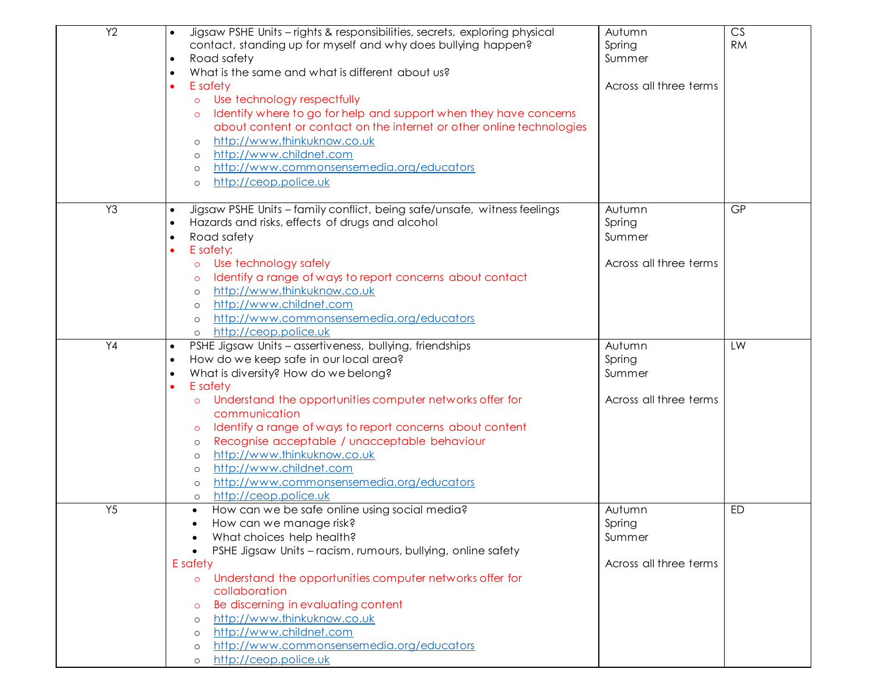| $\overline{Y2}$ | Jigsaw PSHE Units - rights & responsibilities, secrets, exploring physical<br>contact, standing up for myself and why does bullying happen?<br>Road safety<br>$\bullet$<br>What is the same and what is different about us?<br>$\bullet$<br>E safety<br>Use technology respectfully<br>$\circ$<br>Identify where to go for help and support when they have concerns<br>$\circ$<br>about content or contact on the internet or other online technologies<br>http://www.thinkuknow.co.uk<br>$\circ$<br>http://www.childnet.com<br>$\circ$<br>http://www.commonsensemedia.org/educators<br>$\circ$<br>http://ceop.police.uk<br>$\circ$ | Autumn<br>Spring<br>Summer<br>Across all three terms | CS<br><b>RM</b> |
|-----------------|-------------------------------------------------------------------------------------------------------------------------------------------------------------------------------------------------------------------------------------------------------------------------------------------------------------------------------------------------------------------------------------------------------------------------------------------------------------------------------------------------------------------------------------------------------------------------------------------------------------------------------------|------------------------------------------------------|-----------------|
| Y <sub>3</sub>  | Jigsaw PSHE Units - family conflict, being safe/unsafe, witness feelings<br>$\bullet$                                                                                                                                                                                                                                                                                                                                                                                                                                                                                                                                               | Autumn                                               | <b>GP</b>       |
|                 | Hazards and risks, effects of drugs and alcohol<br>$\bullet$<br>Road safety                                                                                                                                                                                                                                                                                                                                                                                                                                                                                                                                                         | Spring<br>Summer                                     |                 |
|                 | $\bullet$<br>E safety:                                                                                                                                                                                                                                                                                                                                                                                                                                                                                                                                                                                                              |                                                      |                 |
|                 | Use technology safely<br>$\circ$                                                                                                                                                                                                                                                                                                                                                                                                                                                                                                                                                                                                    | Across all three terms                               |                 |
|                 | Identify a range of ways to report concerns about contact<br>$\circ$                                                                                                                                                                                                                                                                                                                                                                                                                                                                                                                                                                |                                                      |                 |
|                 | http://www.thinkuknow.co.uk<br>$\circ$                                                                                                                                                                                                                                                                                                                                                                                                                                                                                                                                                                                              |                                                      |                 |
|                 | http://www.childnet.com<br>$\circ$                                                                                                                                                                                                                                                                                                                                                                                                                                                                                                                                                                                                  |                                                      |                 |
|                 | http://www.commonsensemedia.org/educators                                                                                                                                                                                                                                                                                                                                                                                                                                                                                                                                                                                           |                                                      |                 |
|                 | http://ceop.police.uk<br>$\circ$                                                                                                                                                                                                                                                                                                                                                                                                                                                                                                                                                                                                    |                                                      |                 |
| Y4              | PSHE Jigsaw Units - assertiveness, bullying, friendships<br>$\bullet$                                                                                                                                                                                                                                                                                                                                                                                                                                                                                                                                                               | Autumn                                               | LW              |
|                 | How do we keep safe in our local area?<br>$\bullet$                                                                                                                                                                                                                                                                                                                                                                                                                                                                                                                                                                                 | Spring                                               |                 |
|                 | What is diversity? How do we belong?<br>$\bullet$<br>E safety<br>$\bullet$                                                                                                                                                                                                                                                                                                                                                                                                                                                                                                                                                          | Summer                                               |                 |
|                 | Understand the opportunities computer networks offer for<br>$\circ$                                                                                                                                                                                                                                                                                                                                                                                                                                                                                                                                                                 | Across all three terms                               |                 |
|                 | communication                                                                                                                                                                                                                                                                                                                                                                                                                                                                                                                                                                                                                       |                                                      |                 |
|                 | Identify a range of ways to report concerns about content<br>$\circ$                                                                                                                                                                                                                                                                                                                                                                                                                                                                                                                                                                |                                                      |                 |
|                 | Recognise acceptable / unacceptable behaviour<br>$\circ$                                                                                                                                                                                                                                                                                                                                                                                                                                                                                                                                                                            |                                                      |                 |
|                 | http://www.thinkuknow.co.uk<br>$\circ$                                                                                                                                                                                                                                                                                                                                                                                                                                                                                                                                                                                              |                                                      |                 |
|                 | http://www.childnet.com<br>$\circ$                                                                                                                                                                                                                                                                                                                                                                                                                                                                                                                                                                                                  |                                                      |                 |
|                 | http://www.commonsensemedia.org/educators<br>$\circ$                                                                                                                                                                                                                                                                                                                                                                                                                                                                                                                                                                                |                                                      |                 |
|                 | http://ceop.police.uk<br>$\circ$                                                                                                                                                                                                                                                                                                                                                                                                                                                                                                                                                                                                    |                                                      |                 |
| Y5              | How can we be safe online using social media?<br>$\bullet$                                                                                                                                                                                                                                                                                                                                                                                                                                                                                                                                                                          | Autumn                                               | <b>ED</b>       |
|                 | How can we manage risk?                                                                                                                                                                                                                                                                                                                                                                                                                                                                                                                                                                                                             | Spring                                               |                 |
|                 | What choices help health?<br>$\bullet$                                                                                                                                                                                                                                                                                                                                                                                                                                                                                                                                                                                              | Summer                                               |                 |
|                 | PSHE Jigsaw Units - racism, rumours, bullying, online safety<br>$\bullet$<br>E safety                                                                                                                                                                                                                                                                                                                                                                                                                                                                                                                                               | Across all three terms                               |                 |
|                 | Understand the opportunities computer networks offer for                                                                                                                                                                                                                                                                                                                                                                                                                                                                                                                                                                            |                                                      |                 |
|                 | $\circ$<br>collaboration                                                                                                                                                                                                                                                                                                                                                                                                                                                                                                                                                                                                            |                                                      |                 |
|                 | Be discerning in evaluating content<br>$\circ$                                                                                                                                                                                                                                                                                                                                                                                                                                                                                                                                                                                      |                                                      |                 |
|                 | http://www.thinkuknow.co.uk<br>$\circ$                                                                                                                                                                                                                                                                                                                                                                                                                                                                                                                                                                                              |                                                      |                 |
|                 | http://www.childnet.com<br>$\circ$                                                                                                                                                                                                                                                                                                                                                                                                                                                                                                                                                                                                  |                                                      |                 |
|                 | http://www.commonsensemedia.org/educators<br>$\circ$                                                                                                                                                                                                                                                                                                                                                                                                                                                                                                                                                                                |                                                      |                 |
|                 | http://ceop.police.uk<br>$\circ$                                                                                                                                                                                                                                                                                                                                                                                                                                                                                                                                                                                                    |                                                      |                 |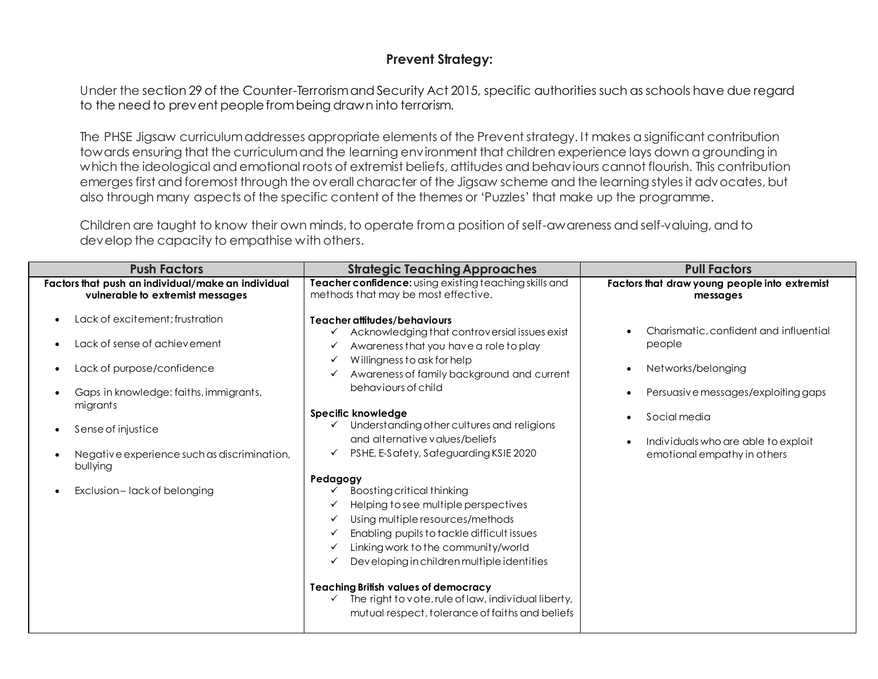## **Prevent Strategy:**

Under the section 29 of the Counter-Terrorism and Security Act 2015, specific authorities such as schools have due regard to the need to prevent people from being drawn into terrorism.

The PHSE Jigsaw curriculumaddresses appropriate elements of the Prevent strategy. It makes a significant contribution towards ensuring that the curriculum and the learning environment that children experience lays down a grounding in which the ideological and emotional roots of extremist beliefs, attitudes and behaviours cannot flourish. This contribution emerges first and foremost through the overall character of the Jigsaw scheme and the learning styles it advocates, but also through many aspects of the specific content of the themes or 'Puzzles' that make up the programme.

Children are taught to know their own minds, to operate from a position of self-awareness and self-valuing, and to develop the capacity to empathise with others.

| <b>Push Factors</b>                                                                         | <b>Strategic Teaching Approaches</b>                                                                                                                                                                                                            | <b>Pull Factors</b>                                                |  |
|---------------------------------------------------------------------------------------------|-------------------------------------------------------------------------------------------------------------------------------------------------------------------------------------------------------------------------------------------------|--------------------------------------------------------------------|--|
| Factors that push an individual/make an individual<br>vulnerable to extremist messages      | Teacher confidence: using existing teaching skills and<br>methods that may be most effective.                                                                                                                                                   | Factors that draw young people into extremist<br>messages          |  |
| Lack of excitement: frustration<br>$\bullet$<br>Lack of sense of achievement<br>$\bullet$   | Teacher attitudes/behaviours<br>Acknowledging that controversial issues exist<br>Awareness that you have a role to play<br>✓                                                                                                                    | Charismatic, confident and influential<br>people                   |  |
| Lack of purpose/confidence<br>٠<br>Gaps in knowledge: faiths, immigrants,<br>$\bullet$      | Willingness to ask for help<br>✓<br>Awareness of family background and current<br>behaviours of child                                                                                                                                           | Networks/belonging<br>Persuasive messages/exploiting gaps          |  |
| migrants                                                                                    | Specific knowledge<br>Understanding other cultures and religions<br>$\checkmark$                                                                                                                                                                | Social media                                                       |  |
| Sense of injustice<br>$\bullet$<br>Negative experience such as discrimination,<br>$\bullet$ | and alternative values/beliefs<br>PSHE, E-Safety, Safeguarding KSIE 2020<br>✓                                                                                                                                                                   | Individuals who are able to exploit<br>emotional empathy in others |  |
| bullying<br>Exclusion-lack of belonging<br>$\bullet$                                        | Pedagogy<br>Boosting critical thinking                                                                                                                                                                                                          |                                                                    |  |
|                                                                                             | Helping to see multiple perspectives<br>✓<br>Using multiple resources/methods<br>✓<br>Enabling pupils to tackle difficult issues<br>✓<br>Linking work to the community/world<br>✓<br>Developing in children multiple identities<br>$\checkmark$ |                                                                    |  |
|                                                                                             | <b>Teaching British values of democracy</b><br>The right to vote, rule of law, individual liberty,<br>$\checkmark$<br>mutual respect, tolerance of faiths and beliefs                                                                           |                                                                    |  |